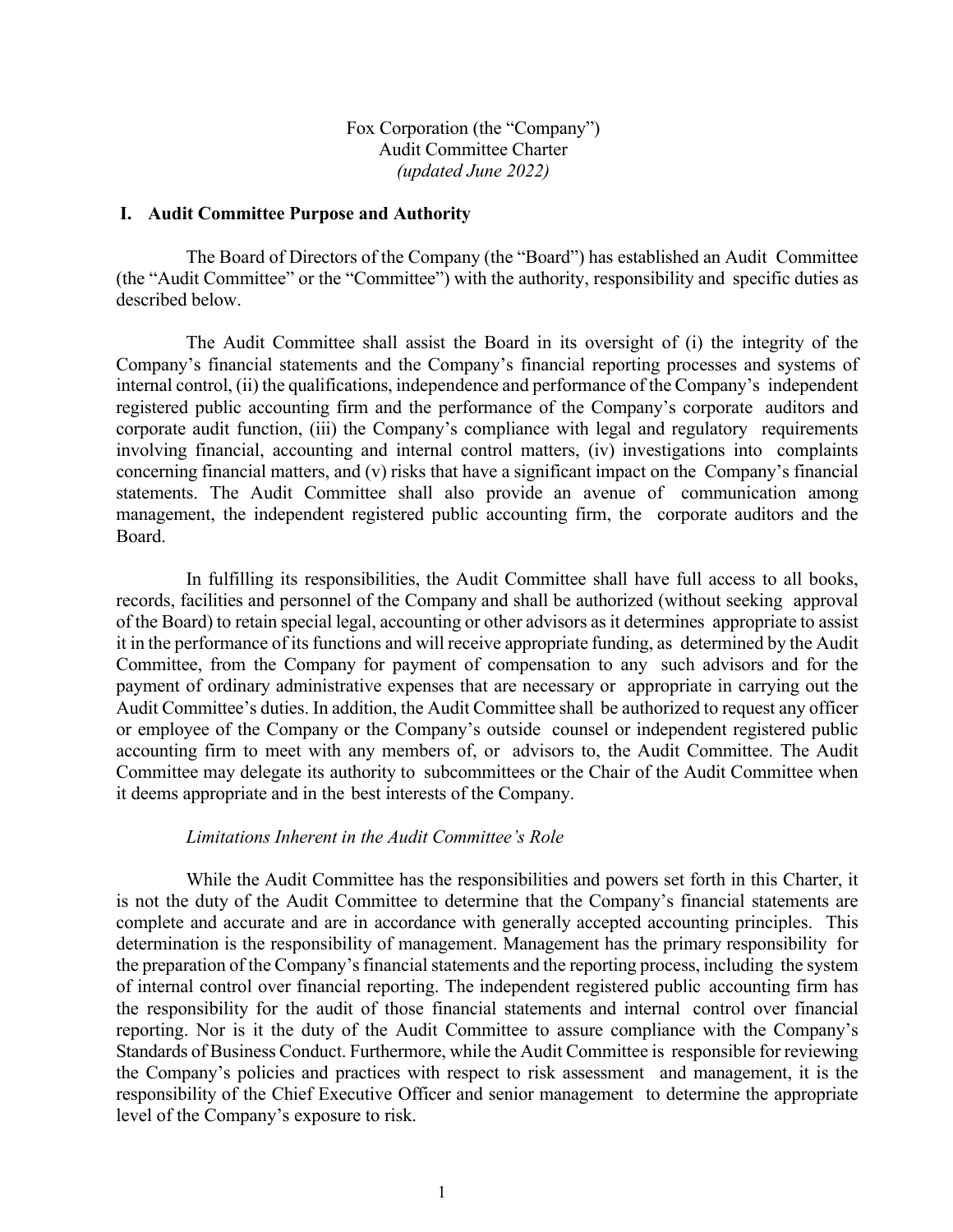Fox Corporation (the "Company") Audit Committee Charter *(updated June 2022)*

#### **I. Audit Committee Purpose and Authority**

The Board of Directors of the Company (the "Board") has established an Audit Committee (the "Audit Committee" or the "Committee") with the authority, responsibility and specific duties as described below.

The Audit Committee shall assist the Board in its oversight of (i) the integrity of the Company's financial statements and the Company's financial reporting processes and systems of internal control, (ii) the qualifications, independence and performance of the Company's independent registered public accounting firm and the performance of the Company's corporate auditors and corporate audit function, (iii) the Company's compliance with legal and regulatory requirements involving financial, accounting and internal control matters, (iv) investigations into complaints concerning financial matters, and (v) risks that have a significant impact on the Company's financial statements. The Audit Committee shall also provide an avenue of communication among management, the independent registered public accounting firm, the corporate auditors and the Board.

In fulfilling its responsibilities, the Audit Committee shall have full access to all books, records, facilities and personnel of the Company and shall be authorized (without seeking approval of the Board) to retain special legal, accounting or other advisors as it determines appropriate to assist it in the performance of its functions and will receive appropriate funding, as determined by the Audit Committee, from the Company for payment of compensation to any such advisors and for the payment of ordinary administrative expenses that are necessary or appropriate in carrying out the Audit Committee's duties. In addition, the Audit Committee shall be authorized to request any officer or employee of the Company or the Company's outside counsel or independent registered public accounting firm to meet with any members of, or advisors to, the Audit Committee. The Audit Committee may delegate its authority to subcommittees or the Chair of the Audit Committee when it deems appropriate and in the best interests of the Company.

### *Limitations Inherent in the Audit Committee's Role*

While the Audit Committee has the responsibilities and powers set forth in this Charter, it is not the duty of the Audit Committee to determine that the Company's financial statements are complete and accurate and are in accordance with generally accepted accounting principles. This determination is the responsibility of management. Management has the primary responsibility for the preparation of the Company's financial statements and the reporting process, including the system of internal control over financial reporting. The independent registered public accounting firm has the responsibility for the audit of those financial statements and internal control over financial reporting. Nor is it the duty of the Audit Committee to assure compliance with the Company's Standards of Business Conduct. Furthermore, while the Audit Committee is responsible for reviewing the Company's policies and practices with respect to risk assessment and management, it is the responsibility of the Chief Executive Officer and senior management to determine the appropriate level of the Company's exposure to risk.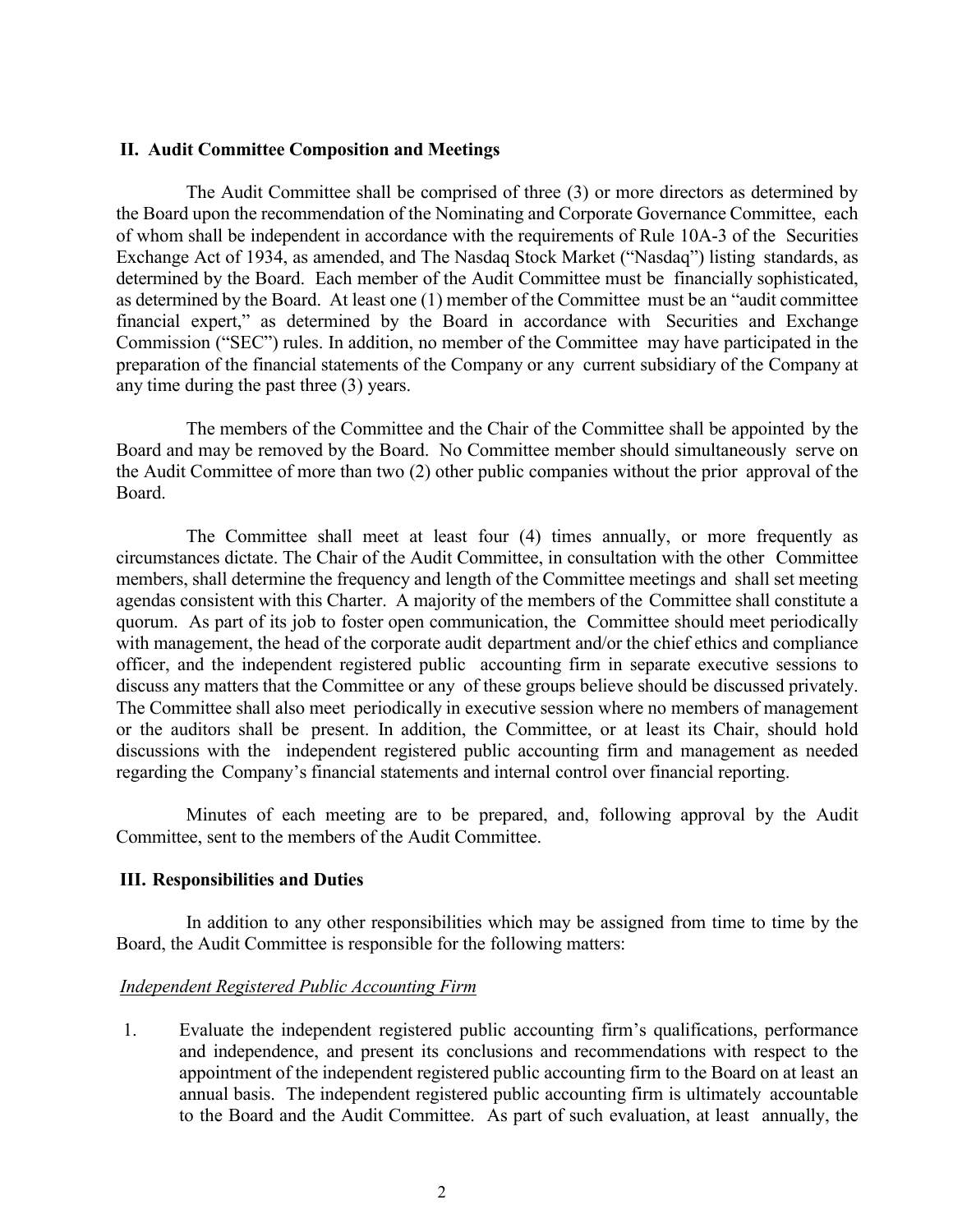#### **II. Audit Committee Composition and Meetings**

The Audit Committee shall be comprised of three (3) or more directors as determined by the Board upon the recommendation of the Nominating and Corporate Governance Committee, each of whom shall be independent in accordance with the requirements of Rule 10A-3 of the Securities Exchange Act of 1934, as amended, and The Nasdaq Stock Market ("Nasdaq") listing standards, as determined by the Board. Each member of the Audit Committee must be financially sophisticated, as determined by the Board. At least one (1) member of the Committee must be an "audit committee financial expert," as determined by the Board in accordance with Securities and Exchange Commission ("SEC") rules. In addition, no member of the Committee may have participated in the preparation of the financial statements of the Company or any current subsidiary of the Company at any time during the past three (3) years.

The members of the Committee and the Chair of the Committee shall be appointed by the Board and may be removed by the Board. No Committee member should simultaneously serve on the Audit Committee of more than two (2) other public companies without the prior approval of the Board.

The Committee shall meet at least four (4) times annually, or more frequently as circumstances dictate. The Chair of the Audit Committee, in consultation with the other Committee members, shall determine the frequency and length of the Committee meetings and shall set meeting agendas consistent with this Charter. A majority of the members of the Committee shall constitute a quorum. As part of its job to foster open communication, the Committee should meet periodically with management, the head of the corporate audit department and/or the chief ethics and compliance officer, and the independent registered public accounting firm in separate executive sessions to discuss any matters that the Committee or any of these groups believe should be discussed privately. The Committee shall also meet periodically in executive session where no members of management or the auditors shall be present. In addition, the Committee, or at least its Chair, should hold discussions with the independent registered public accounting firm and management as needed regarding the Company's financial statements and internal control over financial reporting.

Minutes of each meeting are to be prepared, and, following approval by the Audit Committee, sent to the members of the Audit Committee.

#### **III. Responsibilities and Duties**

In addition to any other responsibilities which may be assigned from time to time by the Board, the Audit Committee is responsible for the following matters:

### *Independent Registered Public Accounting Firm*

1. Evaluate the independent registered public accounting firm's qualifications, performance and independence, and present its conclusions and recommendations with respect to the appointment of the independent registered public accounting firm to the Board on at least an annual basis. The independent registered public accounting firm is ultimately accountable to the Board and the Audit Committee. As part of such evaluation, at least annually, the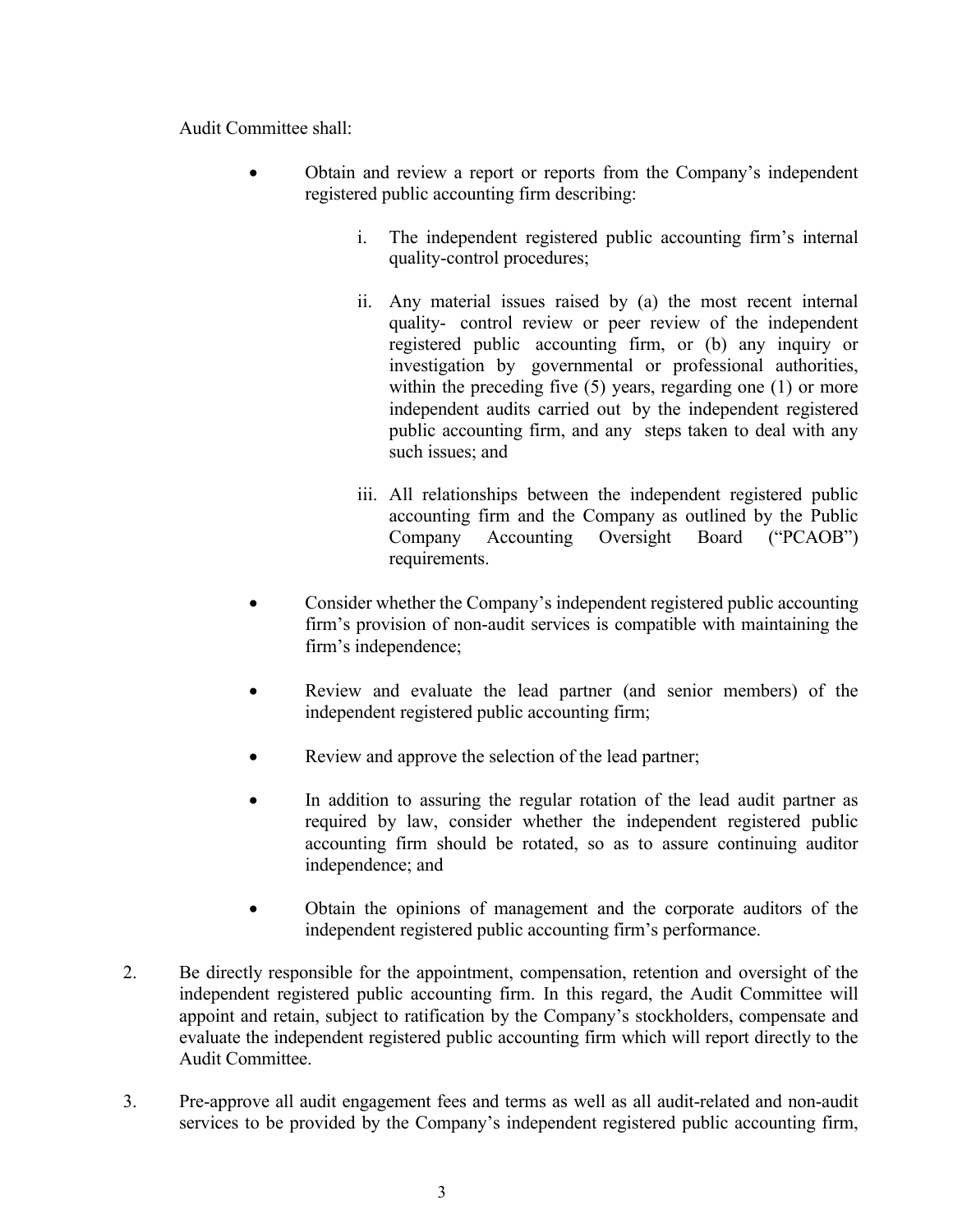Audit Committee shall:

- Obtain and review a report or reports from the Company's independent registered public accounting firm describing:
	- i. The independent registered public accounting firm's internal quality-control procedures;
	- ii. Any material issues raised by (a) the most recent internal quality- control review or peer review of the independent registered public accounting firm, or (b) any inquiry or investigation by governmental or professional authorities, within the preceding five (5) years, regarding one (1) or more independent audits carried out by the independent registered public accounting firm, and any steps taken to deal with any such issues; and
	- iii. All relationships between the independent registered public accounting firm and the Company as outlined by the Public Company Accounting Oversight Board ("PCAOB") requirements.
- Consider whether the Company's independent registered public accounting firm's provision of non-audit services is compatible with maintaining the firm's independence;
- Review and evaluate the lead partner (and senior members) of the independent registered public accounting firm;
- Review and approve the selection of the lead partner;
- In addition to assuring the regular rotation of the lead audit partner as required by law, consider whether the independent registered public accounting firm should be rotated, so as to assure continuing auditor independence; and
- Obtain the opinions of management and the corporate auditors of the independent registered public accounting firm's performance.
- 2. Be directly responsible for the appointment, compensation, retention and oversight of the independent registered public accounting firm. In this regard, the Audit Committee will appoint and retain, subject to ratification by the Company's stockholders, compensate and evaluate the independent registered public accounting firm which will report directly to the Audit Committee.
- 3. Pre-approve all audit engagement fees and terms as well as all audit-related and non-audit services to be provided by the Company's independent registered public accounting firm,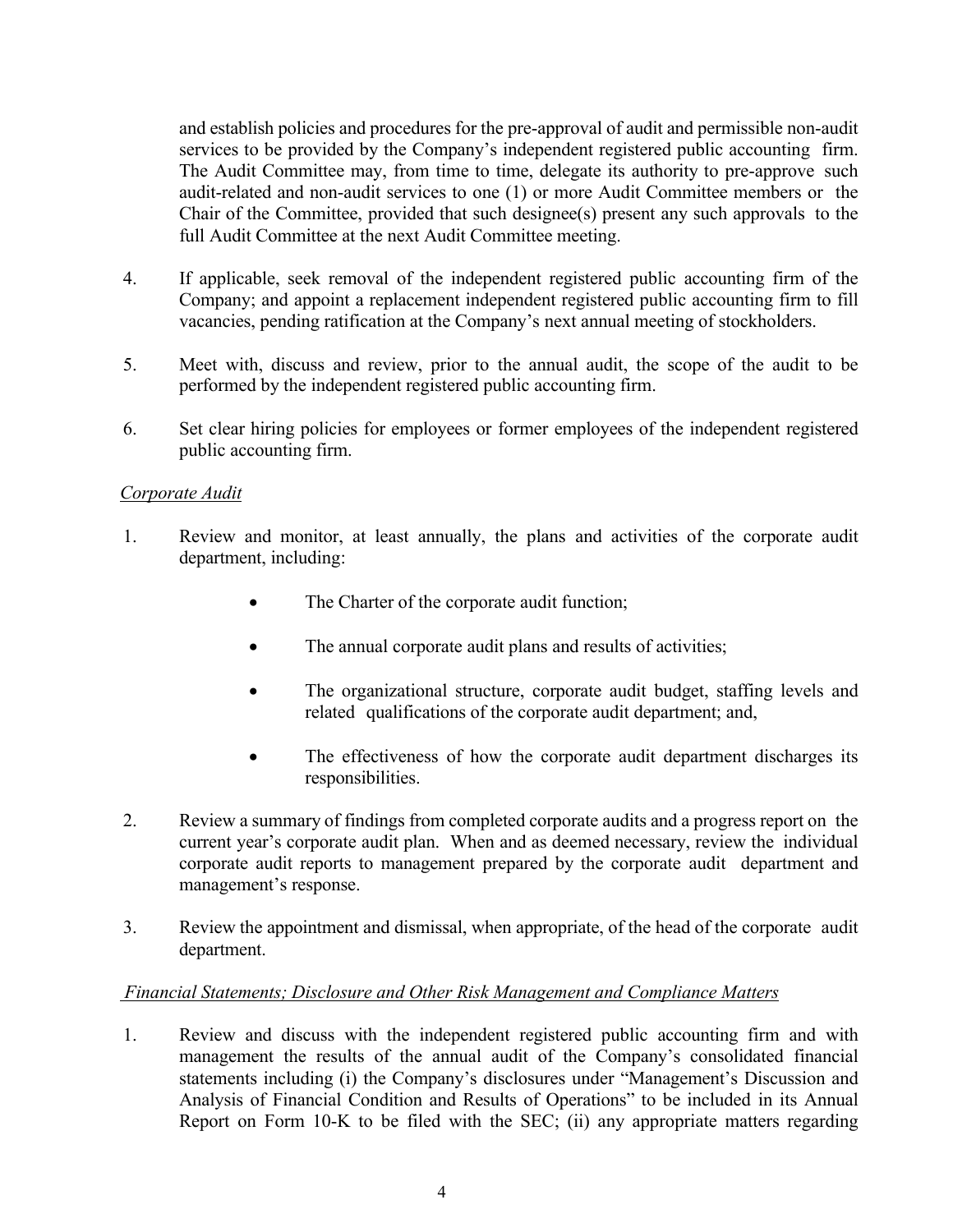and establish policies and procedures for the pre-approval of audit and permissible non-audit services to be provided by the Company's independent registered public accounting firm. The Audit Committee may, from time to time, delegate its authority to pre-approve such audit-related and non-audit services to one (1) or more Audit Committee members or the Chair of the Committee, provided that such designee(s) present any such approvals to the full Audit Committee at the next Audit Committee meeting.

- 4. If applicable, seek removal of the independent registered public accounting firm of the Company; and appoint a replacement independent registered public accounting firm to fill vacancies, pending ratification at the Company's next annual meeting of stockholders.
- 5. Meet with, discuss and review, prior to the annual audit, the scope of the audit to be performed by the independent registered public accounting firm.
- 6. Set clear hiring policies for employees or former employees of the independent registered public accounting firm.

## *Corporate Audit*

- 1. Review and monitor, at least annually, the plans and activities of the corporate audit department, including:
	- The Charter of the corporate audit function;
	- The annual corporate audit plans and results of activities;
	- The organizational structure, corporate audit budget, staffing levels and related qualifications of the corporate audit department; and,
	- The effectiveness of how the corporate audit department discharges its responsibilities.
- 2. Review a summary of findings from completed corporate audits and a progress report on the current year's corporate audit plan. When and as deemed necessary, review the individual corporate audit reports to management prepared by the corporate audit department and management's response.
- 3. Review the appointment and dismissal, when appropriate, of the head of the corporate audit department.

## *Financial Statements; Disclosure and Other Risk Management and Compliance Matters*

1. Review and discuss with the independent registered public accounting firm and with management the results of the annual audit of the Company's consolidated financial statements including (i) the Company's disclosures under "Management's Discussion and Analysis of Financial Condition and Results of Operations" to be included in its Annual Report on Form 10-K to be filed with the SEC; (ii) any appropriate matters regarding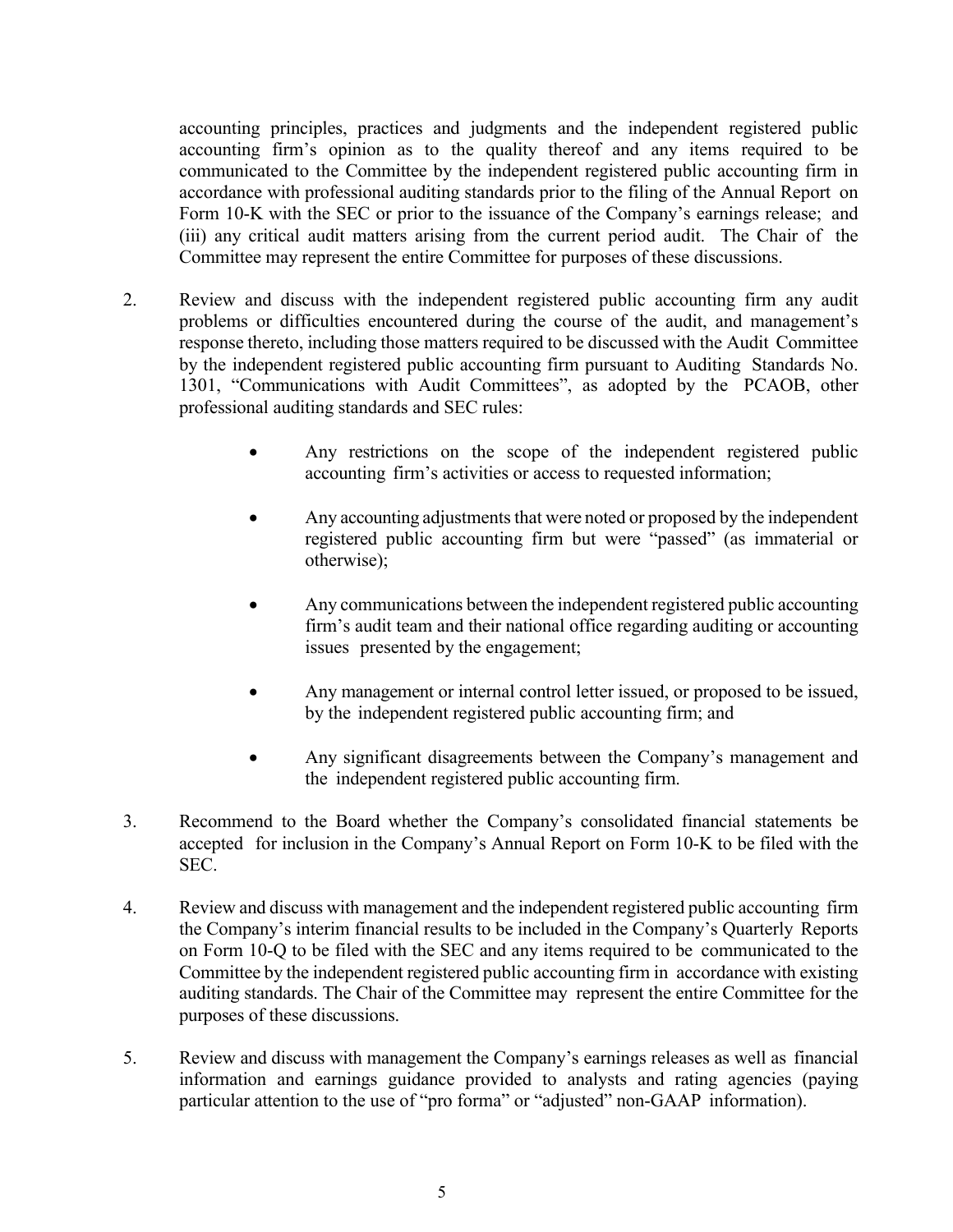accounting principles, practices and judgments and the independent registered public accounting firm's opinion as to the quality thereof and any items required to be communicated to the Committee by the independent registered public accounting firm in accordance with professional auditing standards prior to the filing of the Annual Report on Form 10-K with the SEC or prior to the issuance of the Company's earnings release; and (iii) any critical audit matters arising from the current period audit. The Chair of the Committee may represent the entire Committee for purposes of these discussions.

- 2. Review and discuss with the independent registered public accounting firm any audit problems or difficulties encountered during the course of the audit, and management's response thereto, including those matters required to be discussed with the Audit Committee by the independent registered public accounting firm pursuant to Auditing Standards No. 1301, "Communications with Audit Committees", as adopted by the PCAOB, other professional auditing standards and SEC rules:
	- Any restrictions on the scope of the independent registered public accounting firm's activities or access to requested information;
	- Any accounting adjustments that were noted or proposed by the independent registered public accounting firm but were "passed" (as immaterial or otherwise);
	- Any communications between the independent registered public accounting firm's audit team and their national office regarding auditing or accounting issues presented by the engagement;
	- Any management or internal control letter issued, or proposed to be issued, by the independent registered public accounting firm; and
	- Any significant disagreements between the Company's management and the independent registered public accounting firm.
- 3. Recommend to the Board whether the Company's consolidated financial statements be accepted for inclusion in the Company's Annual Report on Form 10-K to be filed with the SEC.
- 4. Review and discuss with management and the independent registered public accounting firm the Company's interim financial results to be included in the Company's Quarterly Reports on Form 10-Q to be filed with the SEC and any items required to be communicated to the Committee by the independent registered public accounting firm in accordance with existing auditing standards. The Chair of the Committee may represent the entire Committee for the purposes of these discussions.
- 5. Review and discuss with management the Company's earnings releases as well as financial information and earnings guidance provided to analysts and rating agencies (paying particular attention to the use of "pro forma" or "adjusted" non-GAAP information).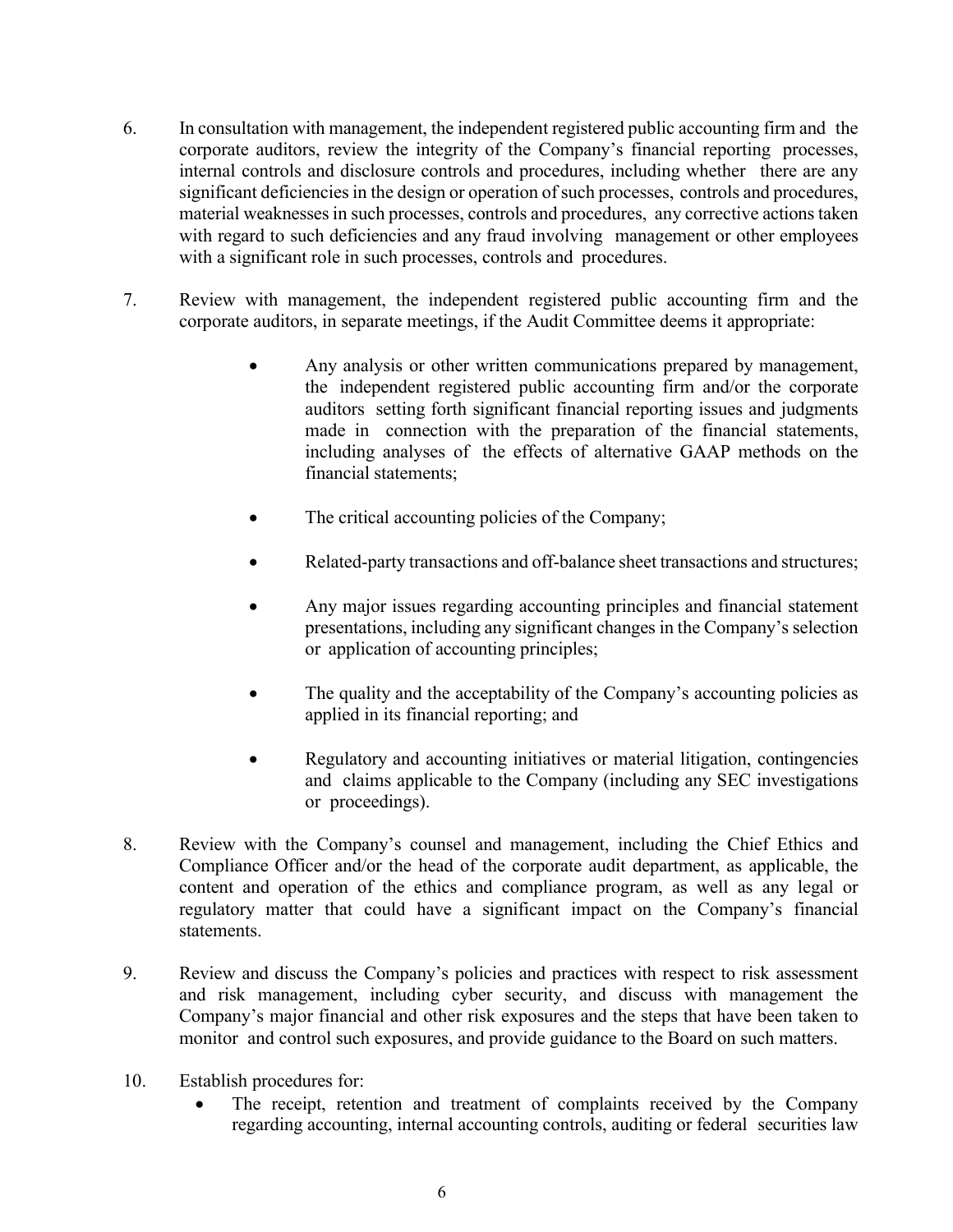- 6. In consultation with management, the independent registered public accounting firm and the corporate auditors, review the integrity of the Company's financial reporting processes, internal controls and disclosure controls and procedures, including whether there are any significant deficiencies in the design or operation of such processes, controls and procedures, material weaknesses in such processes, controls and procedures, any corrective actions taken with regard to such deficiencies and any fraud involving management or other employees with a significant role in such processes, controls and procedures.
- 7. Review with management, the independent registered public accounting firm and the corporate auditors, in separate meetings, if the Audit Committee deems it appropriate:
	- Any analysis or other written communications prepared by management, the independent registered public accounting firm and/or the corporate auditors setting forth significant financial reporting issues and judgments made in connection with the preparation of the financial statements, including analyses of the effects of alternative GAAP methods on the financial statements;
	- The critical accounting policies of the Company;
	- Related-party transactions and off-balance sheet transactions and structures;
	- Any major issues regarding accounting principles and financial statement presentations, including any significant changes in the Company's selection or application of accounting principles;
	- The quality and the acceptability of the Company's accounting policies as applied in its financial reporting; and
	- Regulatory and accounting initiatives or material litigation, contingencies and claims applicable to the Company (including any SEC investigations or proceedings).
- 8. Review with the Company's counsel and management, including the Chief Ethics and Compliance Officer and/or the head of the corporate audit department, as applicable, the content and operation of the ethics and compliance program, as well as any legal or regulatory matter that could have a significant impact on the Company's financial statements.
- 9. Review and discuss the Company's policies and practices with respect to risk assessment and risk management, including cyber security, and discuss with management the Company's major financial and other risk exposures and the steps that have been taken to monitor and control such exposures, and provide guidance to the Board on such matters.
- 10. Establish procedures for:
	- The receipt, retention and treatment of complaints received by the Company regarding accounting, internal accounting controls, auditing or federal securities law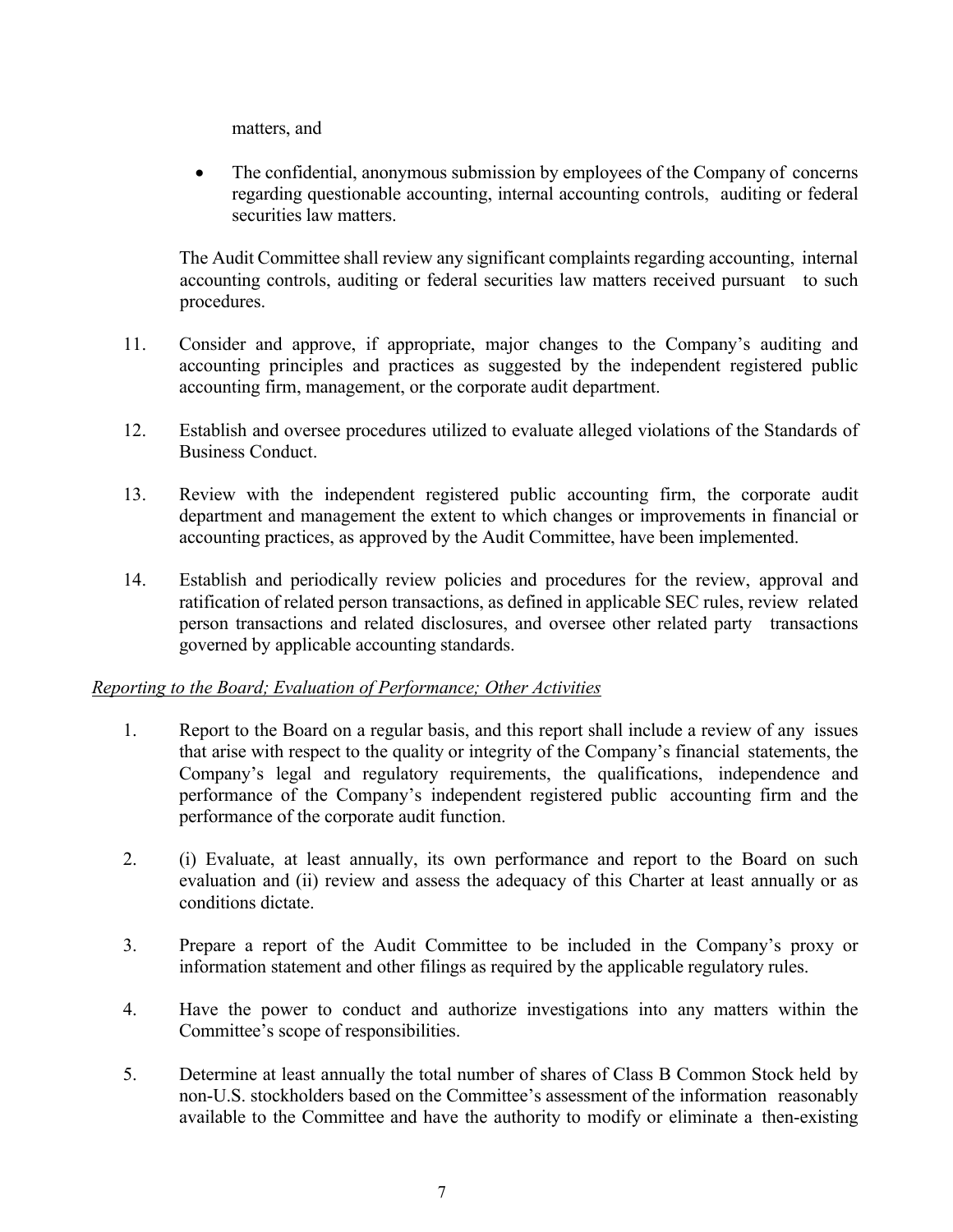matters, and

• The confidential, anonymous submission by employees of the Company of concerns regarding questionable accounting, internal accounting controls, auditing or federal securities law matters.

The Audit Committee shall review any significant complaints regarding accounting, internal accounting controls, auditing or federal securities law matters received pursuant to such procedures.

- 11. Consider and approve, if appropriate, major changes to the Company's auditing and accounting principles and practices as suggested by the independent registered public accounting firm, management, or the corporate audit department.
- 12. Establish and oversee procedures utilized to evaluate alleged violations of the Standards of Business Conduct.
- 13. Review with the independent registered public accounting firm, the corporate audit department and management the extent to which changes or improvements in financial or accounting practices, as approved by the Audit Committee, have been implemented.
- 14. Establish and periodically review policies and procedures for the review, approval and ratification of related person transactions, as defined in applicable SEC rules, review related person transactions and related disclosures, and oversee other related party transactions governed by applicable accounting standards.

# *Reporting to the Board; Evaluation of Performance; Other Activities*

- 1. Report to the Board on a regular basis, and this report shall include a review of any issues that arise with respect to the quality or integrity of the Company's financial statements, the Company's legal and regulatory requirements, the qualifications, independence and performance of the Company's independent registered public accounting firm and the performance of the corporate audit function.
- 2. (i) Evaluate, at least annually, its own performance and report to the Board on such evaluation and (ii) review and assess the adequacy of this Charter at least annually or as conditions dictate.
- 3. Prepare a report of the Audit Committee to be included in the Company's proxy or information statement and other filings as required by the applicable regulatory rules.
- 4. Have the power to conduct and authorize investigations into any matters within the Committee's scope of responsibilities.
- 5. Determine at least annually the total number of shares of Class B Common Stock held by non-U.S. stockholders based on the Committee's assessment of the information reasonably available to the Committee and have the authority to modify or eliminate a then-existing